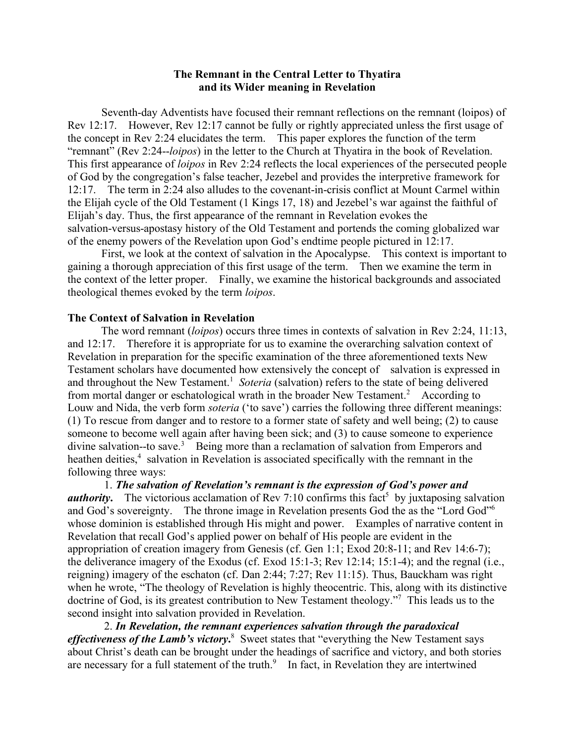## **The Remnant in the Central Letter to Thyatira and its Wider meaning in Revelation**

Seventh-day Adventists have focused their remnant reflections on the remnant (loipos) of Rev 12:17. However, Rev 12:17 cannot be fully or rightly appreciated unless the first usage of the concept in Rev 2:24 elucidates the term. This paper explores the function of the term "remnant" (Rev 2:24--*loipos*) in the letter to the Church at Thyatira in the book of Revelation. This first appearance of *loipos* in Rev 2:24 reflects the local experiences of the persecuted people of God by the congregation's false teacher, Jezebel and provides the interpretive framework for 12:17. The term in 2:24 also alludes to the covenant-in-crisis conflict at Mount Carmel within the Elijah cycle of the Old Testament (1 Kings 17, 18) and Jezebel's war against the faithful of Elijah's day. Thus, the first appearance of the remnant in Revelation evokes the salvation-versus-apostasy history of the Old Testament and portends the coming globalized war of the enemy powers of the Revelation upon God's endtime people pictured in 12:17.

First, we look at the context of salvation in the Apocalypse. This context is important to gaining a thorough appreciation of this first usage of the term. Then we examine the term in the context of the letter proper. Finally, we examine the historical backgrounds and associated theological themes evoked by the term *loipos*.

## **The Context of Salvation in Revelation**

The word remnant (*loipos*) occurs three times in contexts of salvation in Rev 2:24, 11:13, and 12:17. Therefore it is appropriate for us to examine the overarching salvation context of Revelation in preparation for the specific examination of the three aforementioned texts New Testament scholars have documented how extensively the concept of salvation is expressed in and throughout the New Testament.<sup>1</sup> *Soteria* (salvation) refers to the state of being delivered from mortal danger or eschatological wrath in the broader New Testament.<sup>2</sup> According to Louw and Nida, the verb form *soteria* ('to save') carries the following three different meanings: (1) To rescue from danger and to restore to a former state of safety and well being; (2) to cause someone to become well again after having been sick; and (3) to cause someone to experience divine salvation--to save.<sup>3</sup> Being more than a reclamation of salvation from Emperors and heathen deities,<sup>4</sup> salvation in Revelation is associated specifically with the remnant in the following three ways:

1. *The salvation of Revelation's remnant is the expression of God's power and authority*. The victorious acclamation of Rev 7:10 confirms this fact<sup>5</sup> by juxtaposing salvation and God's sovereignty. The throne image in Revelation presents God the as the "Lord God"6 whose dominion is established through His might and power. Examples of narrative content in Revelation that recall God's applied power on behalf of His people are evident in the appropriation of creation imagery from Genesis (cf. Gen 1:1; Exod 20:8-11; and Rev 14:6-7); the deliverance imagery of the Exodus (cf. Exod 15:1-3; Rev 12:14; 15:1-4); and the regnal (i.e., reigning) imagery of the eschaton (cf. Dan 2:44; 7:27; Rev 11:15). Thus, Bauckham was right when he wrote, "The theology of Revelation is highly theocentric. This, along with its distinctive doctrine of God, is its greatest contribution to New Testament theology."7 This leads us to the second insight into salvation provided in Revelation.

2. *In Revelation, the remnant experiences salvation through the paradoxical effectiveness of the Lamb's victory***.** <sup>8</sup> Sweet states that "everything the New Testament says about Christ's death can be brought under the headings of sacrifice and victory, and both stories are necessary for a full statement of the truth. $9$  In fact, in Revelation they are intertwined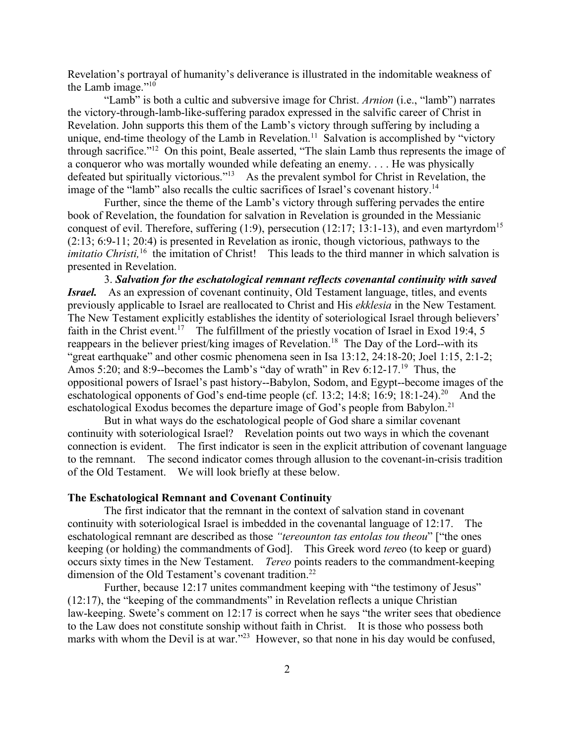Revelation's portrayal of humanity's deliverance is illustrated in the indomitable weakness of the Lamb image."10

"Lamb" is both a cultic and subversive image for Christ. *Arnion* (i.e., "lamb") narrates the victory-through-lamb-like-suffering paradox expressed in the salvific career of Christ in Revelation. John supports this them of the Lamb's victory through suffering by including a unique, end-time theology of the Lamb in Revelation.<sup>11</sup> Salvation is accomplished by "victory through sacrifice."12 On this point, Beale asserted, "The slain Lamb thus represents the image of a conqueror who was mortally wounded while defeating an enemy. . . . He was physically defeated but spiritually victorious."<sup>13</sup> As the prevalent symbol for Christ in Revelation, the image of the "lamb" also recalls the cultic sacrifices of Israel's covenant history.<sup>14</sup>

Further, since the theme of the Lamb's victory through suffering pervades the entire book of Revelation, the foundation for salvation in Revelation is grounded in the Messianic conquest of evil. Therefore, suffering  $(1:9)$ , persecution  $(12:17; 13:1-13)$ , and even martyrdom<sup>15</sup> (2:13; 6:9-11; 20:4) is presented in Revelation as ironic, though victorious, pathways to the *imitatio Christi*,<sup>16</sup> the imitation of Christ! This leads to the third manner in which salvation is presented in Revelation.

3. *Salvation for the eschatological remnant reflects covenantal continuity with saved Israel.* As an expression of covenant continuity, Old Testament language, titles, and events previously applicable to Israel are reallocated to Christ and His *ekklesia* in the New Testament*.*  The New Testament explicitly establishes the identity of soteriological Israel through believers' faith in the Christ event.<sup>17</sup> The fulfillment of the priestly vocation of Israel in Exod 19:4, 5 reappears in the believer priest/king images of Revelation.<sup>18</sup> The Day of the Lord--with its "great earthquake" and other cosmic phenomena seen in Isa 13:12, 24:18-20; Joel 1:15, 2:1-2; Amos 5:20; and 8:9--becomes the Lamb's "day of wrath" in Rev 6:12-17.<sup>19</sup> Thus, the oppositional powers of Israel's past history--Babylon, Sodom, and Egypt--become images of the eschatological opponents of God's end-time people (cf. 13:2; 14:8; 16:9; 18:1-24).<sup>20</sup> And the eschatological Exodus becomes the departure image of God's people from Babylon.<sup>21</sup>

But in what ways do the eschatological people of God share a similar covenant continuity with soteriological Israel? Revelation points out two ways in which the covenant connection is evident. The first indicator is seen in the explicit attribution of covenant language to the remnant. The second indicator comes through allusion to the covenant-in-crisis tradition of the Old Testament. We will look briefly at these below.

### **The Eschatological Remnant and Covenant Continuity**

The first indicator that the remnant in the context of salvation stand in covenant continuity with soteriological Israel is imbedded in the covenantal language of 12:17. The eschatological remnant are described as those *"tereounton tas entolas tou theou*" ["the ones keeping (or holding) the commandments of God]. This Greek word *ter*eo (to keep or guard) occurs sixty times in the New Testament. *Tereo* points readers to the commandment-keeping dimension of the Old Testament's covenant tradition.<sup>22</sup>

Further, because 12:17 unites commandment keeping with "the testimony of Jesus" (12:17), the "keeping of the commandments" in Revelation reflects a unique Christian law-keeping. Swete's comment on 12:17 is correct when he says "the writer sees that obedience to the Law does not constitute sonship without faith in Christ. It is those who possess both marks with whom the Devil is at war."<sup>23</sup> However, so that none in his day would be confused,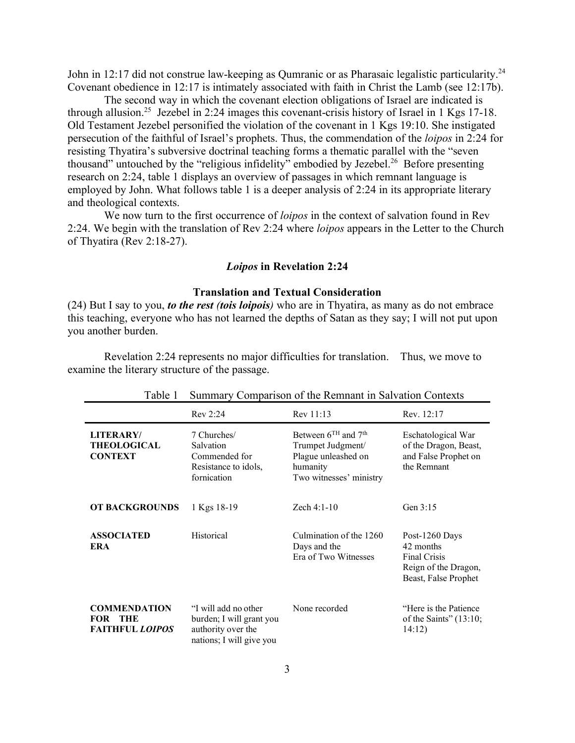John in 12:17 did not construe law-keeping as Qumranic or as Pharasaic legalistic particularity.<sup>24</sup> Covenant obedience in 12:17 is intimately associated with faith in Christ the Lamb (see 12:17b).

The second way in which the covenant election obligations of Israel are indicated is through allusion.25 Jezebel in 2:24 images this covenant-crisis history of Israel in 1 Kgs 17-18. Old Testament Jezebel personified the violation of the covenant in 1 Kgs 19:10. She instigated persecution of the faithful of Israel's prophets. Thus, the commendation of the *loipos* in 2:24 for resisting Thyatira's subversive doctrinal teaching forms a thematic parallel with the "seven thousand" untouched by the "religious infidelity" embodied by Jezebel.<sup>26</sup> Before presenting research on 2:24, table 1 displays an overview of passages in which remnant language is employed by John. What follows table 1 is a deeper analysis of 2:24 in its appropriate literary and theological contexts.

We now turn to the first occurrence of *loipos* in the context of salvation found in Rev 2:24. We begin with the translation of Rev 2:24 where *loipos* appears in the Letter to the Church of Thyatira (Rev 2:18-27).

### *Loipos* **in Revelation 2:24**

### **Translation and Textual Consideration**

(24) But I say to you, *to the rest (tois loipois)* who are in Thyatira, as many as do not embrace this teaching, everyone who has not learned the depths of Satan as they say; I will not put upon you another burden.

Revelation 2:24 represents no major difficulties for translation. Thus, we move to examine the literary structure of the passage.

| Table 1                                                  | Summary Comparison of the Remnant in Salvation Contexts                                            |                                                                                                            |                                                                                                    |  |
|----------------------------------------------------------|----------------------------------------------------------------------------------------------------|------------------------------------------------------------------------------------------------------------|----------------------------------------------------------------------------------------------------|--|
|                                                          | Rev 2:24                                                                                           | Rev 11:13                                                                                                  | Rev. 12:17                                                                                         |  |
| <b>LITERARY/</b><br><b>THEOLOGICAL</b><br><b>CONTEXT</b> | 7 Churches/<br>Salvation<br>Commended for<br>Resistance to idols,<br>fornication                   | Between $6TH$ and $7th$<br>Trumpet Judgment/<br>Plague unleashed on<br>humanity<br>Two witnesses' ministry | Eschatological War<br>of the Dragon, Beast,<br>and False Prophet on<br>the Remnant                 |  |
| <b>OT BACKGROUNDS</b>                                    | 1 Kgs 18-19                                                                                        | Zech $4:1-10$                                                                                              | Gen 3:15                                                                                           |  |
| <b>ASSOCIATED</b><br><b>ERA</b>                          | Historical                                                                                         | Culmination of the 1260<br>Days and the<br>Era of Two Witnesses                                            | Post-1260 Days<br>42 months<br><b>Final Crisis</b><br>Reign of the Dragon,<br>Beast, False Prophet |  |
| <b>COMMENDATION</b><br>FOR THE<br><b>FAITHFUL LOIPOS</b> | "I will add no other<br>burden; I will grant you<br>authority over the<br>nations; I will give you | None recorded                                                                                              | "Here is the Patience"<br>of the Saints" $(13:10;$<br>14:12)                                       |  |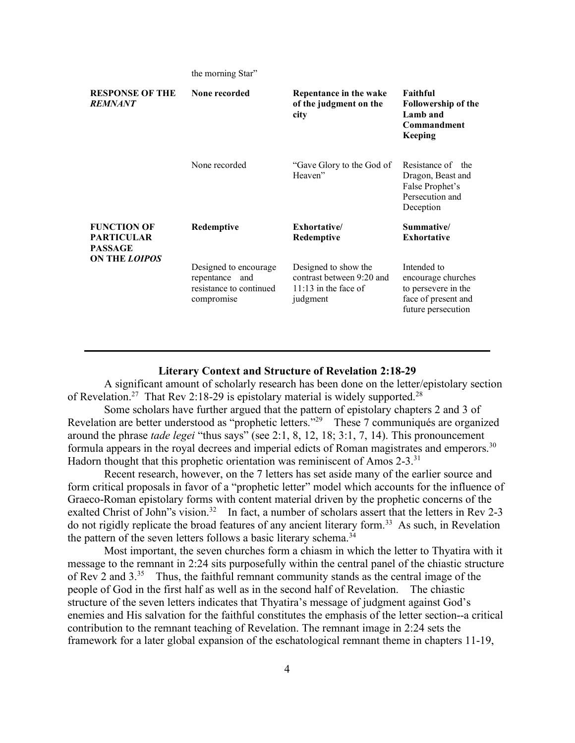the morning Star"

| <b>RESPONSE OF THE</b><br><b>REMNANT</b>                                          | None recorded                                                                    | Repentance in the wake<br>of the judgment on the<br>city                                | Faithful<br><b>Followership of the</b><br>Lamb and<br>Commandment<br><b>Keeping</b>                   |
|-----------------------------------------------------------------------------------|----------------------------------------------------------------------------------|-----------------------------------------------------------------------------------------|-------------------------------------------------------------------------------------------------------|
|                                                                                   | None recorded                                                                    | "Gave Glory to the God of<br>Heaven"                                                    | Resistance of the<br>Dragon, Beast and<br>False Prophet's<br>Persecution and<br>Deception             |
| <b>FUNCTION OF</b><br><b>PARTICULAR</b><br><b>PASSAGE</b><br><b>ON THE LOIPOS</b> | Redemptive                                                                       | Exhortative/<br>Redemptive                                                              | Summative/<br><b>Exhortative</b>                                                                      |
|                                                                                   | Designed to encourage<br>repentance and<br>resistance to continued<br>compromise | Designed to show the<br>contrast between 9:20 and<br>$11:13$ in the face of<br>judgment | Intended to<br>encourage churches<br>to persevere in the<br>face of present and<br>future persecution |

## **Literary Context and Structure of Revelation 2:18-29**

A significant amount of scholarly research has been done on the letter/epistolary section of Revelation.<sup>27</sup> That Rev 2:18-29 is epistolary material is widely supported.<sup>28</sup>

Some scholars have further argued that the pattern of epistolary chapters 2 and 3 of Revelation are better understood as "prophetic letters."29 These 7 communiqués are organized around the phrase *tade legei* "thus says" (see 2:1, 8, 12, 18; 3:1, 7, 14). This pronouncement formula appears in the royal decrees and imperial edicts of Roman magistrates and emperors.<sup>30</sup> Hadorn thought that this prophetic orientation was reminiscent of Amos  $2-3$ .<sup>31</sup>

Recent research, however, on the 7 letters has set aside many of the earlier source and form critical proposals in favor of a "prophetic letter" model which accounts for the influence of Graeco-Roman epistolary forms with content material driven by the prophetic concerns of the exalted Christ of John"s vision.<sup>32</sup> In fact, a number of scholars assert that the letters in Rev 2-3 do not rigidly replicate the broad features of any ancient literary form.<sup>33</sup> As such, in Revelation the pattern of the seven letters follows a basic literary schema.<sup>34</sup>

Most important, the seven churches form a chiasm in which the letter to Thyatira with it message to the remnant in 2:24 sits purposefully within the central panel of the chiastic structure of Rev 2 and 3.<sup>35</sup> Thus, the faithful remnant community stands as the central image of the people of God in the first half as well as in the second half of Revelation. The chiastic structure of the seven letters indicates that Thyatira's message of judgment against God's enemies and His salvation for the faithful constitutes the emphasis of the letter section--a critical contribution to the remnant teaching of Revelation. The remnant image in 2:24 sets the framework for a later global expansion of the eschatological remnant theme in chapters 11-19,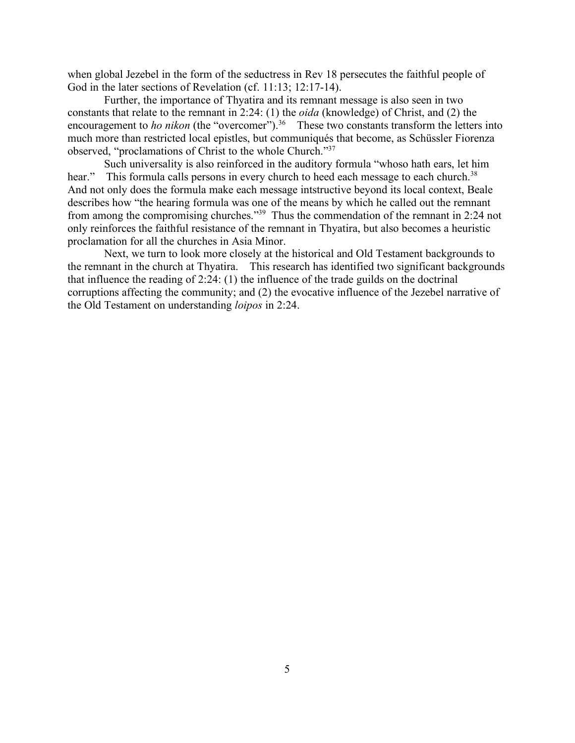when global Jezebel in the form of the seductress in Rev 18 persecutes the faithful people of God in the later sections of Revelation (cf. 11:13; 12:17-14).

Further, the importance of Thyatira and its remnant message is also seen in two constants that relate to the remnant in 2:24: (1) the *oida* (knowledge) of Christ, and (2) the encouragement to *ho nikon* (the "overcomer")<sup>36</sup> These two constants transform the letters into much more than restricted local epistles, but communiqués that become, as Schüssler Fiorenza observed, "proclamations of Christ to the whole Church."37

Such universality is also reinforced in the auditory formula "whoso hath ears, let him hear." This formula calls persons in every church to heed each message to each church.<sup>38</sup> And not only does the formula make each message intstructive beyond its local context, Beale describes how "the hearing formula was one of the means by which he called out the remnant from among the compromising churches."<sup>39</sup> Thus the commendation of the remnant in 2:24 not only reinforces the faithful resistance of the remnant in Thyatira, but also becomes a heuristic proclamation for all the churches in Asia Minor.

Next, we turn to look more closely at the historical and Old Testament backgrounds to the remnant in the church at Thyatira. This research has identified two significant backgrounds that influence the reading of 2:24: (1) the influence of the trade guilds on the doctrinal corruptions affecting the community; and (2) the evocative influence of the Jezebel narrative of the Old Testament on understanding *loipos* in 2:24.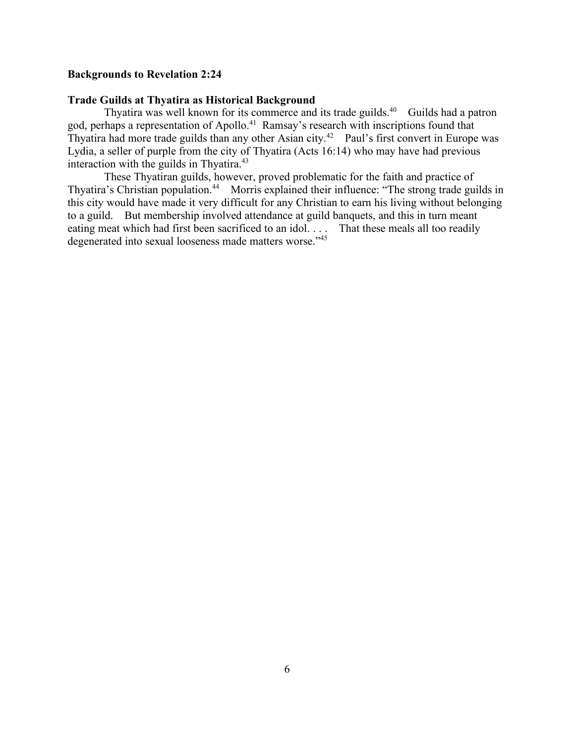### **Backgrounds to Revelation 2:24**

# **Trade Guilds at Thyatira as Historical Background**

Thyatira was well known for its commerce and its trade guilds.<sup>40</sup> Guilds had a patron god, perhaps a representation of Apollo.41 Ramsay's research with inscriptions found that Thyatira had more trade guilds than any other Asian city.42 Paul's first convert in Europe was Lydia, a seller of purple from the city of Thyatira (Acts 16:14) who may have had previous interaction with the guilds in Thyatira. $43$ 

These Thyatiran guilds, however, proved problematic for the faith and practice of Thyatira's Christian population.44 Morris explained their influence: "The strong trade guilds in this city would have made it very difficult for any Christian to earn his living without belonging to a guild. But membership involved attendance at guild banquets, and this in turn meant eating meat which had first been sacrificed to an idol. . . . That these meals all too readily degenerated into sexual looseness made matters worse."45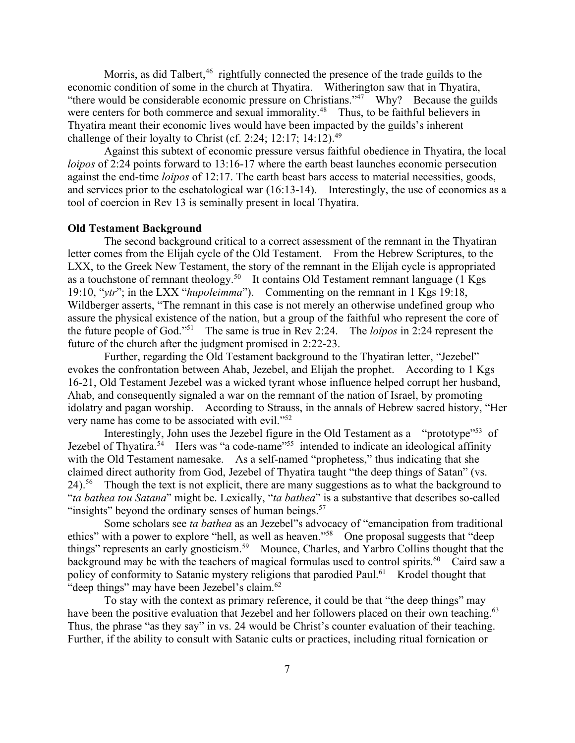Morris, as did Talbert, $46$  rightfully connected the presence of the trade guilds to the economic condition of some in the church at Thyatira. Witherington saw that in Thyatira, "there would be considerable economic pressure on Christians." $47^\circ$  Why? Because the guilds were centers for both commerce and sexual immorality.<sup>48</sup> Thus, to be faithful believers in Thyatira meant their economic lives would have been impacted by the guilds's inherent challenge of their loyalty to Christ (cf. 2:24; 12:17; 14:12).<sup>49</sup>

Against this subtext of economic pressure versus faithful obedience in Thyatira, the local *loipos* of 2:24 points forward to 13:16-17 where the earth beast launches economic persecution against the end-time *loipos* of 12:17. The earth beast bars access to material necessities, goods, and services prior to the eschatological war (16:13-14). Interestingly, the use of economics as a tool of coercion in Rev 13 is seminally present in local Thyatira.

### **Old Testament Background**

The second background critical to a correct assessment of the remnant in the Thyatiran letter comes from the Elijah cycle of the Old Testament. From the Hebrew Scriptures, to the LXX, to the Greek New Testament, the story of the remnant in the Elijah cycle is appropriated as a touchstone of remnant theology.<sup>50</sup> It contains Old Testament remnant language (1 Kgs) 19:10, "*ytr*"; in the LXX "*hupoleimma*"). Commenting on the remnant in 1 Kgs 19:18, Wildberger asserts, "The remnant in this case is not merely an otherwise undefined group who assure the physical existence of the nation, but a group of the faithful who represent the core of the future people of God."51 The same is true in Rev 2:24. The *loipos* in 2:24 represent the future of the church after the judgment promised in 2:22-23.

Further, regarding the Old Testament background to the Thyatiran letter, "Jezebel" evokes the confrontation between Ahab, Jezebel, and Elijah the prophet. According to 1 Kgs 16-21, Old Testament Jezebel was a wicked tyrant whose influence helped corrupt her husband, Ahab, and consequently signaled a war on the remnant of the nation of Israel, by promoting idolatry and pagan worship. According to Strauss, in the annals of Hebrew sacred history, "Her very name has come to be associated with evil."52

Interestingly, John uses the Jezebel figure in the Old Testament as a "prototype"<sup>53</sup> of Jezebel of Thyatira.<sup>54</sup> Hers was "a code-name"<sup>555</sup> intended to indicate an ideological affinity with the Old Testament namesake. As a self-named "prophetess," thus indicating that she claimed direct authority from God, Jezebel of Thyatira taught "the deep things of Satan" (vs. 24).<sup>56</sup> Though the text is not explicit, there are many suggestions as to what the background to "*ta bathea tou Satana*" might be. Lexically, "*ta bathea*" is a substantive that describes so-called "insights" beyond the ordinary senses of human beings.<sup>57</sup>

Some scholars see *ta bathea* as an Jezebel"s advocacy of "emancipation from traditional ethics" with a power to explore "hell, as well as heaven."<sup>58</sup> One proposal suggests that "deep" things" represents an early gnosticism.<sup>59</sup> Mounce, Charles, and Yarbro Collins thought that the background may be with the teachers of magical formulas used to control spirits.<sup>60</sup> Caird saw a policy of conformity to Satanic mystery religions that parodied Paul.<sup>61</sup> Krodel thought that "deep things" may have been Jezebel's claim.<sup>62</sup>

To stay with the context as primary reference, it could be that "the deep things" may have been the positive evaluation that Jezebel and her followers placed on their own teaching.<sup>63</sup> Thus, the phrase "as they say" in vs. 24 would be Christ's counter evaluation of their teaching. Further, if the ability to consult with Satanic cults or practices, including ritual fornication or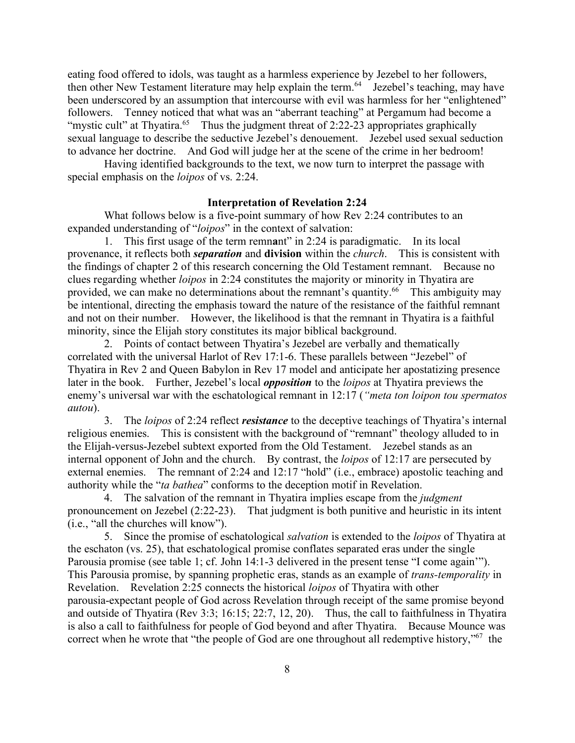eating food offered to idols, was taught as a harmless experience by Jezebel to her followers, then other New Testament literature may help explain the term.<sup>64</sup> Jezebel's teaching, may have been underscored by an assumption that intercourse with evil was harmless for her "enlightened" followers. Tenney noticed that what was an "aberrant teaching" at Pergamum had become a "mystic cult" at Thyatira.<sup>65</sup> Thus the judgment threat of 2:22-23 appropriates graphically sexual language to describe the seductive Jezebel's denouement. Jezebel used sexual seduction to advance her doctrine. And God will judge her at the scene of the crime in her bedroom!

Having identified backgrounds to the text, we now turn to interpret the passage with special emphasis on the *loipos* of vs. 2:24.

### **Interpretation of Revelation 2:24**

What follows below is a five-point summary of how Rev 2:24 contributes to an expanded understanding of "*loipos*" in the context of salvation:

1. This first usage of the term remn**a**nt" in 2:24 is paradigmatic. In its local provenance, it reflects both *separation* and **division** within the *church*. This is consistent with the findings of chapter 2 of this research concerning the Old Testament remnant. Because no clues regarding whether *loipos* in 2:24 constitutes the majority or minority in Thyatira are provided, we can make no determinations about the remnant's quantity.66 This ambiguity may be intentional, directing the emphasis toward the nature of the resistance of the faithful remnant and not on their number. However, the likelihood is that the remnant in Thyatira is a faithful minority, since the Elijah story constitutes its major biblical background.

2. Points of contact between Thyatira's Jezebel are verbally and thematically correlated with the universal Harlot of Rev 17:1-6. These parallels between "Jezebel" of Thyatira in Rev 2 and Queen Babylon in Rev 17 model and anticipate her apostatizing presence later in the book. Further, Jezebel's local *opposition* to the *loipos* at Thyatira previews the enemy's universal war with the eschatological remnant in 12:17 (*"meta ton loipon tou spermatos autou*).

3. The *loipos* of 2:24 reflect *resistance* to the deceptive teachings of Thyatira's internal religious enemies. This is consistent with the background of "remnant" theology alluded to in the Elijah-versus-Jezebel subtext exported from the Old Testament. Jezebel stands as an internal opponent of John and the church. By contrast, the *loipos* of 12:17 are persecuted by external enemies. The remnant of 2:24 and 12:17 "hold" (i.e., embrace) apostolic teaching and authority while the "*ta bathea*" conforms to the deception motif in Revelation.

4. The salvation of the remnant in Thyatira implies escape from the *judgment* pronouncement on Jezebel (2:22-23). That judgment is both punitive and heuristic in its intent (i.e., "all the churches will know").

5. Since the promise of eschatological *salvation* is extended to the *loipos* of Thyatira at the eschaton (vs. 25), that eschatological promise conflates separated eras under the single Parousia promise (see table 1; cf. John 14:1-3 delivered in the present tense "I come again'"). This Parousia promise, by spanning prophetic eras, stands as an example of *trans-temporality* in Revelation. Revelation 2:25 connects the historical *loipos* of Thyatira with other parousia-expectant people of God across Revelation through receipt of the same promise beyond and outside of Thyatira (Rev 3:3; 16:15; 22:7, 12, 20). Thus, the call to faithfulness in Thyatira is also a call to faithfulness for people of God beyond and after Thyatira. Because Mounce was correct when he wrote that "the people of God are one throughout all redemptive history,"<sup>67</sup> the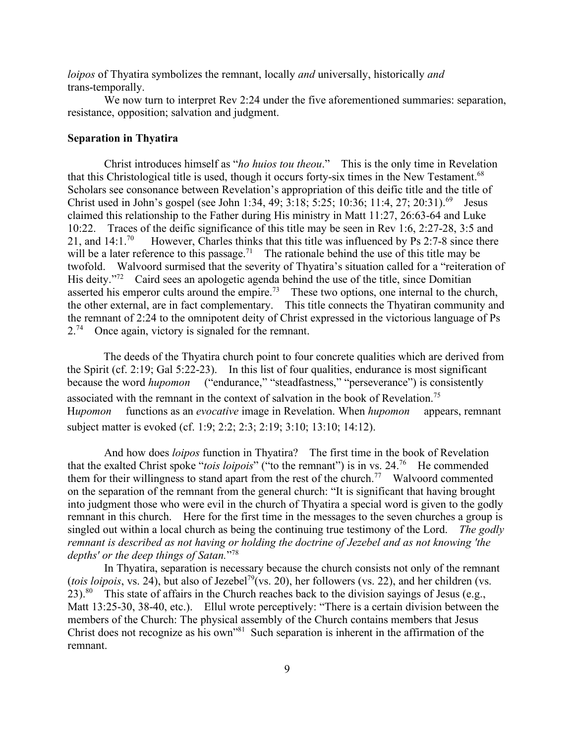*loipos* of Thyatira symbolizes the remnant, locally *and* universally, historically *and* trans-temporally.

We now turn to interpret Rev 2:24 under the five aforementioned summaries: separation, resistance, opposition; salvation and judgment.

### **Separation in Thyatira**

Christ introduces himself as "*ho huios tou theou*." This is the only time in Revelation that this Christological title is used, though it occurs forty-six times in the New Testament.<sup>68</sup> Scholars see consonance between Revelation's appropriation of this deific title and the title of Christ used in John's gospel (see John 1:34, 49; 3:18; 5:25; 10:36; 11:4, 27; 20:31).69 Jesus claimed this relationship to the Father during His ministry in Matt 11:27, 26:63-64 and Luke 10:22. Traces of the deific significance of this title may be seen in Rev 1:6, 2:27-28, 3:5 and 21, and  $14:1.^{70}$  However, Charles thinks that this title was influenced by Ps 2:7-8 since there will be a later reference to this passage.<sup>71</sup> The rationale behind the use of this title may be twofold. Walvoord surmised that the severity of Thyatira's situation called for a "reiteration of His deity."<sup>72</sup> Caird sees an apologetic agenda behind the use of the title, since Domitian asserted his emperor cults around the empire.<sup>73</sup> These two options, one internal to the church, the other external, are in fact complementary. This title connects the Thyatiran community and the remnant of 2:24 to the omnipotent deity of Christ expressed in the victorious language of Ps 2.<sup>74</sup> Once again, victory is signaled for the remnant.

The deeds of the Thyatira church point to four concrete qualities which are derived from the Spirit (cf. 2:19; Gal 5:22-23). In this list of four qualities, endurance is most significant because the word *hupomon* ("endurance," "steadfastness," "perseverance") is consistently associated with the remnant in the context of salvation in the book of Revelation.<sup>75</sup> H*upomon* functions as an *evocative* image in Revelation. When *hupomon* appears, remnant subject matter is evoked (cf. 1:9; 2:2; 2:3; 2:19; 3:10; 13:10; 14:12).

And how does *loipos* function in Thyatira? The first time in the book of Revelation that the exalted Christ spoke "*tois loipois*" ("to the remnant") is in vs. 24.<sup>76</sup> He commended them for their willingness to stand apart from the rest of the church.77 Walvoord commented on the separation of the remnant from the general church: "It is significant that having brought into judgment those who were evil in the church of Thyatira a special word is given to the godly remnant in this church. Here for the first time in the messages to the seven churches a group is singled out within a local church as being the continuing true testimony of the Lord. *The godly remnant is described as not having or holding the doctrine of Jezebel and as not knowing 'the depths' or the deep things of Satan.*"78

In Thyatira, separation is necessary because the church consists not only of the remnant (*tois loipois*, vs. 24), but also of Jezebel<sup>79</sup>(vs. 20), her followers (vs. 22), and her children (vs. 23).<sup>80</sup> This state of affairs in the Church reaches back to the division sayings of Jesus (e.g., Matt 13:25-30, 38-40, etc.). Ellul wrote perceptively: "There is a certain division between the members of the Church: The physical assembly of the Church contains members that Jesus Christ does not recognize as his own"81 Such separation is inherent in the affirmation of the remnant.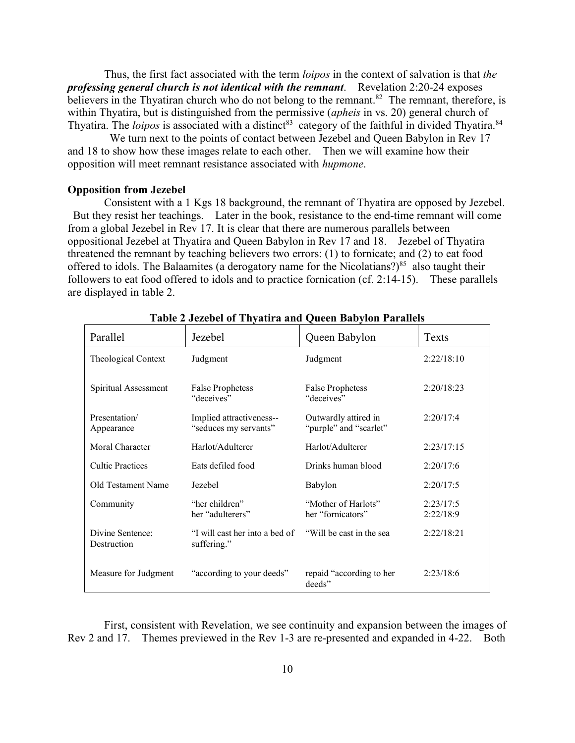Thus, the first fact associated with the term *loipos* in the context of salvation is that *the professing general church is not identical with the remnant*. Revelation 2:20-24 exposes believers in the Thyatiran church who do not belong to the remnant.<sup>82</sup> The remnant, therefore, is within Thyatira, but is distinguished from the permissive (*apheis* in vs. 20) general church of Thyatira. The *loipos* is associated with a distinct<sup>83</sup> category of the faithful in divided Thyatira.<sup>84</sup>

We turn next to the points of contact between Jezebel and Queen Babylon in Rev 17 and 18 to show how these images relate to each other. Then we will examine how their opposition will meet remnant resistance associated with *hupmone*.

### **Opposition from Jezebel**

Consistent with a 1 Kgs 18 background, the remnant of Thyatira are opposed by Jezebel. But they resist her teachings. Later in the book, resistance to the end-time remnant will come from a global Jezebel in Rev 17. It is clear that there are numerous parallels between oppositional Jezebel at Thyatira and Queen Babylon in Rev 17 and 18. Jezebel of Thyatira threatened the remnant by teaching believers two errors: (1) to fornicate; and (2) to eat food offered to idols. The Balaamites (a derogatory name for the Nicolatians?)<sup>85</sup> also taught their followers to eat food offered to idols and to practice fornication (cf. 2:14-15). These parallels are displayed in table 2.

| Parallel                        | Jezebel                                           | Queen Babylon                                  | Texts                  |
|---------------------------------|---------------------------------------------------|------------------------------------------------|------------------------|
| <b>Theological Context</b>      | Judgment                                          | Judgment                                       | 2:22/18:10             |
| Spiritual Assessment            | <b>False Prophetess</b><br>"deceives"             | <b>False Prophetess</b><br>"deceives"          | 2:20/18:23             |
| Presentation/<br>Appearance     | Implied attractiveness--<br>"seduces my servants" | Outwardly attired in<br>"purple" and "scarlet" | 2:20/17:4              |
| Moral Character                 | Harlot/Adulterer                                  | Harlot/Adulterer                               | 2:23/17:15             |
| <b>Cultic Practices</b>         | Eats defiled food                                 | Drinks human blood                             | 2:20/17:6              |
| Old Testament Name              | Jezebel                                           | Babylon                                        | 2:20/17:5              |
| Community                       | "her children"<br>her "adulterers"                | "Mother of Harlots"<br>her "fornicators"       | 2:23/17:5<br>2:22/18:9 |
| Divine Sentence:<br>Destruction | "I will cast her into a bed of<br>suffering."     | "Will be cast in the sea                       | 2:22/18:21             |
| Measure for Judgment            | "according to your deeds"                         | repaid "according to her<br>deeds"             | 2:23/18:6              |

### **Table 2 Jezebel of Thyatira and Queen Babylon Parallels**

First, consistent with Revelation, we see continuity and expansion between the images of Rev 2 and 17. Themes previewed in the Rev 1-3 are re-presented and expanded in 4-22. Both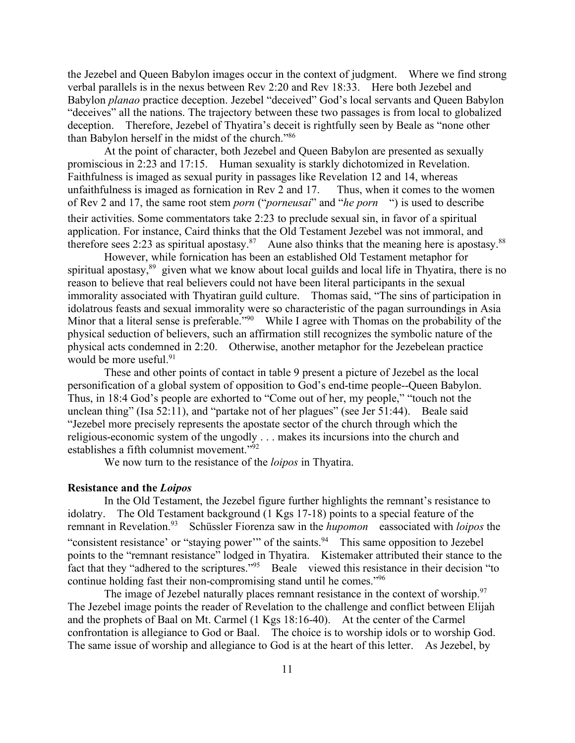the Jezebel and Queen Babylon images occur in the context of judgment. Where we find strong verbal parallels is in the nexus between Rev 2:20 and Rev 18:33. Here both Jezebel and Babylon *planao* practice deception. Jezebel "deceived" God's local servants and Queen Babylon "deceives" all the nations. The trajectory between these two passages is from local to globalized deception. Therefore, Jezebel of Thyatira's deceit is rightfully seen by Beale as "none other than Babylon herself in the midst of the church."86

At the point of character, both Jezebel and Queen Babylon are presented as sexually promiscious in 2:23 and 17:15. Human sexuality is starkly dichotomized in Revelation. Faithfulness is imaged as sexual purity in passages like Revelation 12 and 14, whereas unfaithfulness is imaged as fornication in Rev 2 and 17. Thus, when it comes to the women of Rev 2 and 17, the same root stem *porn* ("*porneusai*" and "*he porn*") is used to describe their activities. Some commentators take 2:23 to preclude sexual sin, in favor of a spiritual application. For instance, Caird thinks that the Old Testament Jezebel was not immoral, and therefore sees 2:23 as spiritual apostasy.<sup>87</sup> Aune also thinks that the meaning here is apostasy.<sup>88</sup>

However, while fornication has been an established Old Testament metaphor for spiritual apostasy, $89$  given what we know about local guilds and local life in Thyatira, there is no reason to believe that real believers could not have been literal participants in the sexual immorality associated with Thyatiran guild culture. Thomas said, "The sins of participation in idolatrous feasts and sexual immorality were so characteristic of the pagan surroundings in Asia Minor that a literal sense is preferable."<sup>90</sup> While I agree with Thomas on the probability of the physical seduction of believers, such an affirmation still recognizes the symbolic nature of the physical acts condemned in 2:20. Otherwise, another metaphor for the Jezebelean practice would be more useful.<sup>91</sup>

These and other points of contact in table 9 present a picture of Jezebel as the local personification of a global system of opposition to God's end-time people--Queen Babylon. Thus, in 18:4 God's people are exhorted to "Come out of her, my people," "touch not the unclean thing" (Isa 52:11), and "partake not of her plagues" (see Jer 51:44). Beale said "Jezebel more precisely represents the apostate sector of the church through which the religious-economic system of the ungodly . . . makes its incursions into the church and establishes a fifth columnist movement."<sup>92</sup>

We now turn to the resistance of the *loipos* in Thyatira.

#### **Resistance and the** *Loipos*

In the Old Testament, the Jezebel figure further highlights the remnant's resistance to idolatry. The Old Testament background (1 Kgs 17-18) points to a special feature of the remnant in Revelation.<sup>93</sup> Schüssler Fiorenza saw in the *hupomon* eassociated with *loipos* the "consistent resistance" or "staying power" of the saints.  $94$  This same opposition to Jezebel points to the "remnant resistance" lodged in Thyatira. Kistemaker attributed their stance to the fact that they "adhered to the scriptures."<sup>95</sup> Beale viewed this resistance in their decision "to continue holding fast their non-compromising stand until he comes.<sup>"96</sup>

The image of Jezebel naturally places remnant resistance in the context of worship.<sup>97</sup> The Jezebel image points the reader of Revelation to the challenge and conflict between Elijah and the prophets of Baal on Mt. Carmel (1 Kgs 18:16-40). At the center of the Carmel confrontation is allegiance to God or Baal. The choice is to worship idols or to worship God. The same issue of worship and allegiance to God is at the heart of this letter. As Jezebel, by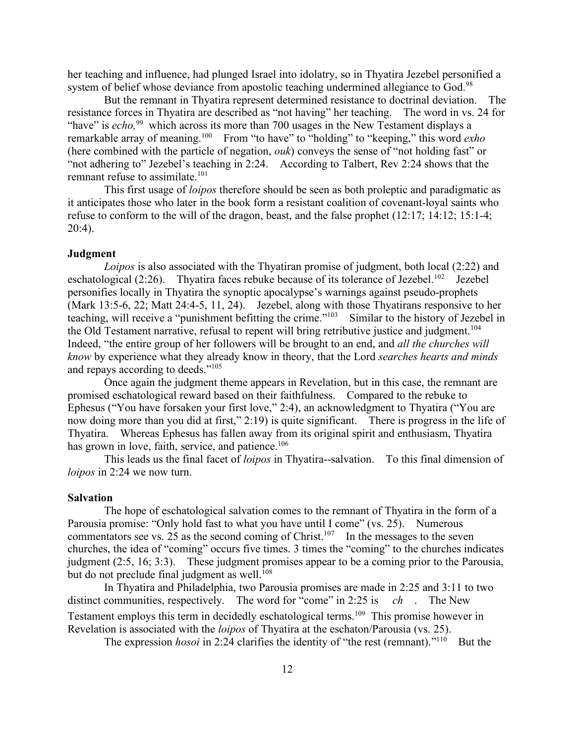her teaching and influence, had plunged Israel into idolatry, so in Thyatira Jezebel personified a system of belief whose deviance from apostolic teaching undermined allegiance to God.<sup>98</sup>

But the remnant in Thyatira represent determined resistance to doctrinal deviation. The resistance forces in Thyatira are described as "not having" her teaching. The word in vs. 24 for "have" is *echo*,<sup>99</sup> which across its more than 700 usages in the New Testament displays a remarkable array of meaning.100 From "to have" to "holding" to "keeping," this word *exho*  (here combined with the particle of negation, *ouk*) conveys the sense of "not holding fast" or "not adhering to" Jezebel's teaching in 2:24. According to Talbert, Rev 2:24 shows that the remnant refuse to assimilate.<sup>101</sup>

This first usage of *loipos* therefore should be seen as both proleptic and paradigmatic as it anticipates those who later in the book form a resistant coalition of covenant-loyal saints who refuse to conform to the will of the dragon, beast, and the false prophet (12:17; 14:12; 15:1-4;  $20:4$ ).

#### **Judgment**

*Loipos* is also associated with the Thyatiran promise of judgment, both local (2:22) and eschatological (2:26). Thyatira faces rebuke because of its tolerance of Jezebel.<sup>102</sup> Jezebel personifies locally in Thyatira the synoptic apocalypse's warnings against pseudo-prophets (Mark 13:5-6, 22; Matt 24:4-5, 11, 24). Jezebel, along with those Thyatirans responsive to her teaching, will receive a "punishment befitting the crime."103 Similar to the history of Jezebel in the Old Testament narrative, refusal to repent will bring retributive justice and judgment.<sup>104</sup> Indeed, "the entire group of her followers will be brought to an end, and *all the churches will know* by experience what they already know in theory, that the Lord *searches hearts and minds* and repays according to deeds."105

Once again the judgment theme appears in Revelation, but in this case, the remnant are promised eschatological reward based on their faithfulness. Compared to the rebuke to Ephesus ("You have forsaken your first love," 2:4), an acknowledgment to Thyatira ("You are now doing more than you did at first," 2:19) is quite significant. There is progress in the life of Thyatira. Whereas Ephesus has fallen away from its original spirit and enthusiasm, Thyatira has grown in love, faith, service, and patience. $106$ 

This leads us the final facet of *loipos* in Thyatira--salvation. To this final dimension of *loipos* in 2:24 we now turn.

### **Salvation**

The hope of eschatological salvation comes to the remnant of Thyatira in the form of a Parousia promise: "Only hold fast to what you have until I come" (vs. 25). Numerous commentators see vs.  $25$  as the second coming of Christ.<sup>107</sup> In the messages to the seven churches, the idea of "coming" occurs five times. 3 times the "coming" to the churches indicates judgment (2:5, 16; 3:3). These judgment promises appear to be a coming prior to the Parousia, but do not preclude final judgment as well.<sup> $108$ </sup>

In Thyatira and Philadelphia, two Parousia promises are made in 2:25 and 3:11 to two distinct communities, respectively. The word for "come" in 2:25 is *ch*. The New Testament employs this term in decidedly eschatological terms.109 This promise however in Revelation is associated with the *loipos* of Thyatira at the eschaton/Parousia (vs. 25).

The expression *hosoi* in 2:24 clarifies the identity of "the rest (remnant)."<sup>110</sup> But the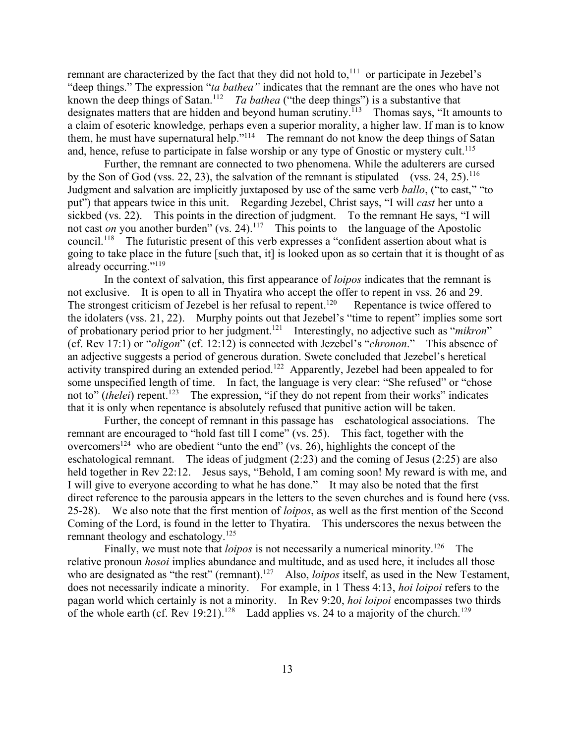remnant are characterized by the fact that they did not hold to,<sup>111</sup> or participate in Jezebel's "deep things." The expression "*ta bathea"* indicates that the remnant are the ones who have not known the deep things of Satan.<sup>112</sup> *Ta bathea* ("the deep things") is a substantive that designates matters that are hidden and beyond human scrutiny.<sup>113</sup> Thomas says, "It amounts to a claim of esoteric knowledge, perhaps even a superior morality, a higher law. If man is to know them, he must have supernatural help."<sup>114</sup> The remnant do not know the deep things of Satan and, hence, refuse to participate in false worship or any type of Gnostic or mystery cult.<sup>115</sup>

Further, the remnant are connected to two phenomena. While the adulterers are cursed by the Son of God (vss. 22, 23), the salvation of the remnant is stipulated (vss. 24, 25).<sup>116</sup> Judgment and salvation are implicitly juxtaposed by use of the same verb *ballo*, ("to cast," "to put") that appears twice in this unit. Regarding Jezebel, Christ says, "I will *cast* her unto a sickbed (vs. 22). This points in the direction of judgment. To the remnant He says, "I will not cast *on* you another burden" (vs. 24).<sup>117</sup> This points to the language of the Apostolic council.118 The futuristic present of this verb expresses a "confident assertion about what is going to take place in the future [such that, it] is looked upon as so certain that it is thought of as already occurring."<sup>119</sup>

In the context of salvation, this first appearance of *loipos* indicates that the remnant is not exclusive. It is open to all in Thyatira who accept the offer to repent in vss. 26 and 29. The strongest criticism of Jezebel is her refusal to repent.<sup>120</sup> Repentance is twice offered to the idolaters (vss. 21, 22). Murphy points out that Jezebel's "time to repent" implies some sort of probationary period prior to her judgment.121 Interestingly, no adjective such as "*mikron*" (cf. Rev 17:1) or "*oligon*" (cf. 12:12) is connected with Jezebel's "*chronon*." This absence of an adjective suggests a period of generous duration. Swete concluded that Jezebel's heretical activity transpired during an extended period.<sup>122</sup> Apparently, Jezebel had been appealed to for some unspecified length of time. In fact, the language is very clear: "She refused" or "chose not to" (*thelei*) repent.<sup>123</sup> The expression, "if they do not repent from their works" indicates that it is only when repentance is absolutely refused that punitive action will be taken.

Further, the concept of remnant in this passage has eschatological associations. The remnant are encouraged to "hold fast till I come" (vs. 25). This fact, together with the overcomers<sup>124</sup> who are obedient "unto the end" (vs. 26), highlights the concept of the eschatological remnant. The ideas of judgment (2:23) and the coming of Jesus (2:25) are also held together in Rev 22:12. Jesus says, "Behold, I am coming soon! My reward is with me, and I will give to everyone according to what he has done." It may also be noted that the first direct reference to the parousia appears in the letters to the seven churches and is found here (vss. 25-28). We also note that the first mention of *loipos*, as well as the first mention of the Second Coming of the Lord, is found in the letter to Thyatira. This underscores the nexus between the remnant theology and eschatology.<sup>125</sup>

Finally, we must note that *loipos* is not necessarily a numerical minority.<sup>126</sup> The relative pronoun *hosoi* implies abundance and multitude, and as used here, it includes all those who are designated as "the rest" (remnant).<sup>127</sup> Also, *loipos* itself, as used in the New Testament, does not necessarily indicate a minority. For example, in 1 Thess 4:13, *hoi loipoi* refers to the pagan world which certainly is not a minority. In Rev 9:20, *hoi loipoi* encompasses two thirds of the whole earth (cf. Rev 19:21).<sup>128</sup> Ladd applies vs. 24 to a majority of the church.<sup>129</sup>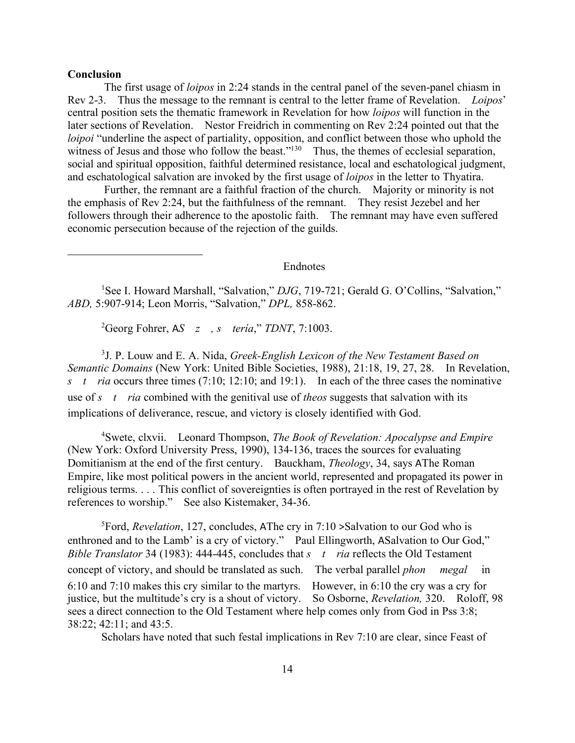### **Conclusion**

 $\overline{a}$ 

The first usage of *loipos* in 2:24 stands in the central panel of the seven-panel chiasm in Rev 2-3. Thus the message to the remnant is central to the letter frame of Revelation. *Loipos*' central position sets the thematic framework in Revelation for how *loipos* will function in the later sections of Revelation. Nestor Freidrich in commenting on Rev 2:24 pointed out that the *loipoi* "underline the aspect of partiality, opposition, and conflict between those who uphold the witness of Jesus and those who follow the beast." $130^\circ$  Thus, the themes of ecclesial separation, social and spiritual opposition, faithful determined resistance, local and eschatological judgment, and eschatological salvation are invoked by the first usage of *loipos* in the letter to Thyatira.

Further, the remnant are a faithful fraction of the church. Majority or minority is not the emphasis of Rev 2:24, but the faithfulness of the remnant. They resist Jezebel and her followers through their adherence to the apostolic faith. The remnant may have even suffered economic persecution because of the rejection of the guilds.

#### Endnotes

<sup>1</sup>See I. Howard Marshall, "Salvation," *DJG*, 719-721; Gerald G. O'Collins, "Salvation," *ABD,* 5:907-914; Leon Morris, "Salvation," *DPL,* 858-862.

2 Georg Fohrer, A*Sz, stería*," *TDNT*, 7:1003.

3 J. P. Louw and E. A. Nida, *Greek-English Lexicon of the New Testament Based on Semantic Domains* (New York: United Bible Societies, 1988), 21:18, 19, 27, 28. In Revelation, *stria* occurs three times (7:10; 12:10; and 19:1). In each of the three cases the nominative use of *stria* combined with the genitival use of *theos* suggests that salvation with its implications of deliverance, rescue, and victory is closely identified with God.

4 Swete, clxvii. Leonard Thompson, *The Book of Revelation: Apocalypse and Empire* (New York: Oxford University Press, 1990), 134-136, traces the sources for evaluating Domitianism at the end of the first century. Bauckham, *Theology*, 34, says AThe Roman Empire, like most political powers in the ancient world, represented and propagated its power in religious terms. . . . This conflict of sovereignties is often portrayed in the rest of Revelation by references to worship." See also Kistemaker, 34-36.

5 Ford, *Revelation*, 127, concludes, AThe cry in 7:10 >Salvation to our God who is enthroned and to the Lamb' is a cry of victory." Paul Ellingworth, ASalvation to Our God," *Bible Translator* 34 (1983): 444-445, concludes that *stria* reflects the Old Testament concept of victory, and should be translated as such. The verbal parallel *phon megal* in 6:10 and 7:10 makes this cry similar to the martyrs. However, in 6:10 the cry was a cry for justice, but the multitude's cry is a shout of victory. So Osborne, *Revelation,* 320. Roloff, 98 sees a direct connection to the Old Testament where help comes only from God in Pss 3:8; 38:22; 42:11; and 43:5.

Scholars have noted that such festal implications in Rev 7:10 are clear, since Feast of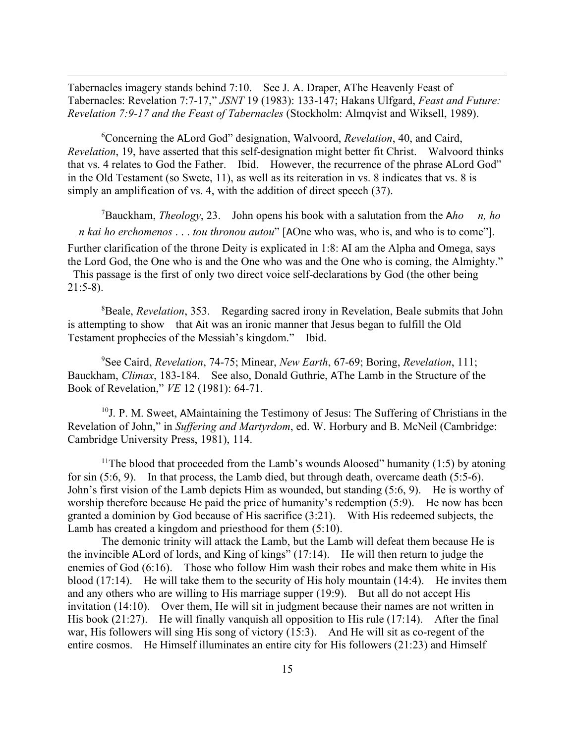Tabernacles imagery stands behind 7:10. See J. A. Draper, AThe Heavenly Feast of Tabernacles: Revelation 7:7-17," *JSNT* 19 (1983): 133-147; Hakans Ulfgard, *Feast and Future: Revelation 7:9-17 and the Feast of Tabernacles* (Stockholm: Almqvist and Wiksell, 1989).

 $\overline{a}$ 

6 Concerning the ALord God" designation, Walvoord, *Revelation*, 40, and Caird, *Revelation*, 19, have asserted that this self-designation might better fit Christ. Walvoord thinks that vs. 4 relates to God the Father. Ibid. However, the recurrence of the phrase ALord God" in the Old Testament (so Swete, 11), as well as its reiteration in vs. 8 indicates that vs. 8 is simply an amplification of vs. 4, with the addition of direct speech (37).

7 Bauckham, *Theology*, 23. John opens his book with a salutation from the A*ho n, ho n kai ho erchomenos* . . . *tou thronou autou*" [AOne who was, who is, and who is to come"]. Further clarification of the throne Deity is explicated in 1:8: AI am the Alpha and Omega, says

the Lord God, the One who is and the One who was and the One who is coming, the Almighty." This passage is the first of only two direct voice self-declarations by God (the other being  $21:5-8$ ).

8 Beale, *Revelation*, 353. Regarding sacred irony in Revelation, Beale submits that John is attempting to show that Ait was an ironic manner that Jesus began to fulfill the Old Testament prophecies of the Messiah's kingdom." Ibid.

9 See Caird, *Revelation*, 74-75; Minear, *New Earth*, 67-69; Boring, *Revelation*, 111; Bauckham, *Climax*, 183-184. See also, Donald Guthrie, AThe Lamb in the Structure of the Book of Revelation," *VE* 12 (1981): 64-71.

<sup>10</sup>J. P. M. Sweet, AMaintaining the Testimony of Jesus: The Suffering of Christians in the Revelation of John," in *Suffering and Martyrdom*, ed. W. Horbury and B. McNeil (Cambridge: Cambridge University Press, 1981), 114.

<sup>11</sup>The blood that proceeded from the Lamb's wounds Aloosed" humanity (1:5) by atoning for sin (5:6, 9). In that process, the Lamb died, but through death, overcame death (5:5-6). John's first vision of the Lamb depicts Him as wounded, but standing (5:6, 9). He is worthy of worship therefore because He paid the price of humanity's redemption (5:9). He now has been granted a dominion by God because of His sacrifice (3:21). With His redeemed subjects, the Lamb has created a kingdom and priesthood for them (5:10).

The demonic trinity will attack the Lamb, but the Lamb will defeat them because He is the invincible ALord of lords, and King of kings" (17:14). He will then return to judge the enemies of God (6:16). Those who follow Him wash their robes and make them white in His blood (17:14). He will take them to the security of His holy mountain (14:4). He invites them and any others who are willing to His marriage supper (19:9). But all do not accept His invitation (14:10). Over them, He will sit in judgment because their names are not written in His book (21:27). He will finally vanquish all opposition to His rule (17:14). After the final war, His followers will sing His song of victory (15:3). And He will sit as co-regent of the entire cosmos. He Himself illuminates an entire city for His followers (21:23) and Himself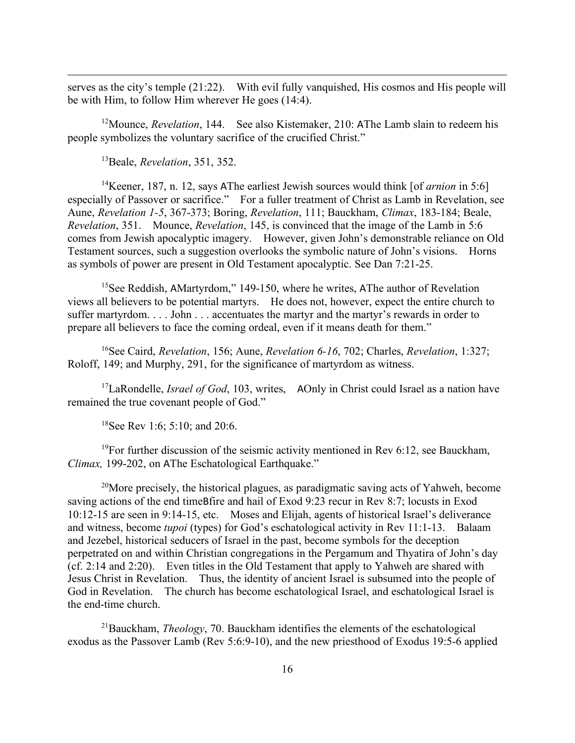serves as the city's temple (21:22). With evil fully vanquished, His cosmos and His people will be with Him, to follow Him wherever He goes (14:4).

<sup>12</sup>Mounce, *Revelation*, 144. See also Kistemaker, 210: AThe Lamb slain to redeem his people symbolizes the voluntary sacrifice of the crucified Christ."

13Beale, *Revelation*, 351, 352.

 $\overline{a}$ 

14Keener, 187, n. 12, says AThe earliest Jewish sources would think [of *arnion* in 5:6] especially of Passover or sacrifice." For a fuller treatment of Christ as Lamb in Revelation, see Aune, *Revelation 1-5*, 367-373; Boring, *Revelation*, 111; Bauckham, *Climax*, 183-184; Beale, *Revelation*, 351. Mounce, *Revelation*, 145, is convinced that the image of the Lamb in 5:6 comes from Jewish apocalyptic imagery. However, given John's demonstrable reliance on Old Testament sources, such a suggestion overlooks the symbolic nature of John's visions. Horns as symbols of power are present in Old Testament apocalyptic. See Dan 7:21-25.

<sup>15</sup>See Reddish, AMartyrdom," 149-150, where he writes, AThe author of Revelation views all believers to be potential martyrs. He does not, however, expect the entire church to suffer martyrdom. . . . John . . . accentuates the martyr and the martyr's rewards in order to prepare all believers to face the coming ordeal, even if it means death for them."

16See Caird, *Revelation*, 156; Aune, *Revelation 6-16*, 702; Charles, *Revelation*, 1:327; Roloff, 149; and Murphy, 291, for the significance of martyrdom as witness.

<sup>17</sup>LaRondelle, *Israel of God*, 103, writes, AOnly in Christ could Israel as a nation have remained the true covenant people of God."

18See Rev 1:6; 5:10; and 20:6.

<sup>19</sup>For further discussion of the seismic activity mentioned in Rev 6:12, see Bauckham, *Climax,* 199-202, on AThe Eschatological Earthquake."

<sup>20</sup>More precisely, the historical plagues, as paradigmatic saving acts of Yahweh, become saving actions of the end timeBfire and hail of Exod 9:23 recur in Rev 8:7; locusts in Exod 10:12-15 are seen in 9:14-15, etc. Moses and Elijah, agents of historical Israel's deliverance and witness, become *tupoi* (types) for God's eschatological activity in Rev 11:1-13. Balaam and Jezebel, historical seducers of Israel in the past, become symbols for the deception perpetrated on and within Christian congregations in the Pergamum and Thyatira of John's day (cf. 2:14 and 2:20). Even titles in the Old Testament that apply to Yahweh are shared with Jesus Christ in Revelation. Thus, the identity of ancient Israel is subsumed into the people of God in Revelation. The church has become eschatological Israel, and eschatological Israel is the end-time church.

21Bauckham, *Theology*, 70. Bauckham identifies the elements of the eschatological exodus as the Passover Lamb (Rev 5:6:9-10), and the new priesthood of Exodus 19:5-6 applied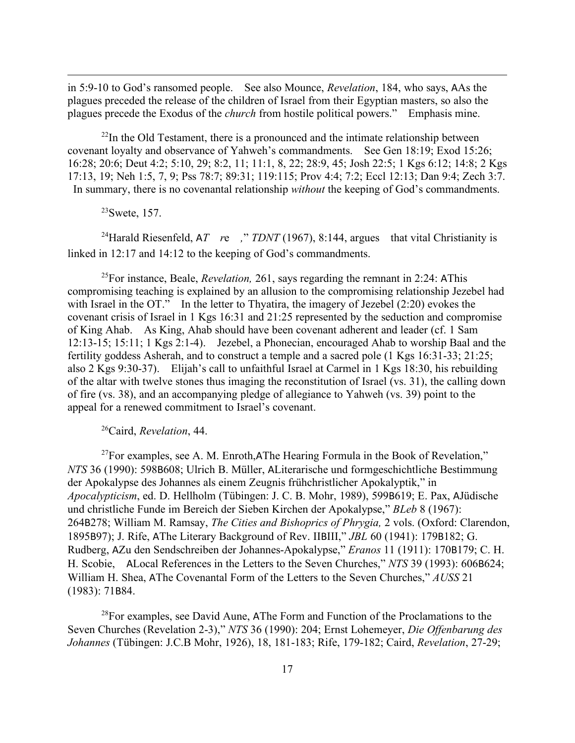in 5:9-10 to God's ransomed people. See also Mounce, *Revelation*, 184, who says, AAs the plagues preceded the release of the children of Israel from their Egyptian masters, so also the plagues precede the Exodus of the *church* from hostile political powers." Emphasis mine.

 $^{22}$ In the Old Testament, there is a pronounced and the intimate relationship between covenant loyalty and observance of Yahweh's commandments. See Gen 18:19; Exod 15:26; 16:28; 20:6; Deut 4:2; 5:10, 29; 8:2, 11; 11:1, 8, 22; 28:9, 45; Josh 22:5; 1 Kgs 6:12; 14:8; 2 Kgs 17:13, 19; Neh 1:5, 7, 9; Pss 78:7; 89:31; 119:115; Prov 4:4; 7:2; Eccl 12:13; Dan 9:4; Zech 3:7. In summary, there is no covenantal relationship *without* the keeping of God's commandments.

 $^{23}$ Swete, 157.

 $\overline{a}$ 

<sup>24</sup>Harald Riesenfeld, A*T r*e ," *TDNT* (1967), 8:144, argues that vital Christianity is linked in 12:17 and 14:12 to the keeping of God's commandments.

25For instance, Beale, *Revelation,* 261, says regarding the remnant in 2:24: AThis compromising teaching is explained by an allusion to the compromising relationship Jezebel had with Israel in the OT." In the letter to Thyatira, the imagery of Jezebel (2:20) evokes the covenant crisis of Israel in 1 Kgs 16:31 and 21:25 represented by the seduction and compromise of King Ahab. As King, Ahab should have been covenant adherent and leader (cf. 1 Sam 12:13-15; 15:11; 1 Kgs 2:1-4). Jezebel, a Phonecian, encouraged Ahab to worship Baal and the fertility goddess Asherah, and to construct a temple and a sacred pole (1 Kgs 16:31-33; 21:25; also 2 Kgs 9:30-37). Elijah's call to unfaithful Israel at Carmel in 1 Kgs 18:30, his rebuilding of the altar with twelve stones thus imaging the reconstitution of Israel (vs. 31), the calling down of fire (vs. 38), and an accompanying pledge of allegiance to Yahweh (vs. 39) point to the appeal for a renewed commitment to Israel's covenant.

26Caird, *Revelation*, 44.

 $^{27}$ For examples, see A. M. Enroth,AThe Hearing Formula in the Book of Revelation," *NTS* 36 (1990): 598B608; Ulrich B. Müller, ALiterarische und formgeschichtliche Bestimmung der Apokalypse des Johannes als einem Zeugnis frühchristlicher Apokalyptik," in *Apocalypticism*, ed. D. Hellholm (Tübingen: J. C. B. Mohr, 1989), 599B619; E. Pax, AJüdische und christliche Funde im Bereich der Sieben Kirchen der Apokalypse," *BLeb* 8 (1967): 264B278; William M. Ramsay, *The Cities and Bishoprics of Phrygia,* 2 vols. (Oxford: Clarendon, 1895B97); J. Rife, AThe Literary Background of Rev. IIBIII," *JBL* 60 (1941): 179B182; G. Rudberg, AZu den Sendschreiben der Johannes-Apokalypse," *Eranos* 11 (1911): 170B179; C. H. H. Scobie, ALocal References in the Letters to the Seven Churches," *NTS* 39 (1993): 606B624; William H. Shea, AThe Covenantal Form of the Letters to the Seven Churches," *AUSS* 21 (1983): 71B84.

<sup>28</sup>For examples, see David Aune, AThe Form and Function of the Proclamations to the Seven Churches (Revelation 2-3)," *NTS* 36 (1990): 204; Ernst Lohemeyer, *Die Offenbarung des Johannes* (Tübingen: J.C.B Mohr, 1926), 18, 181-183; Rife, 179-182; Caird, *Revelation*, 27-29;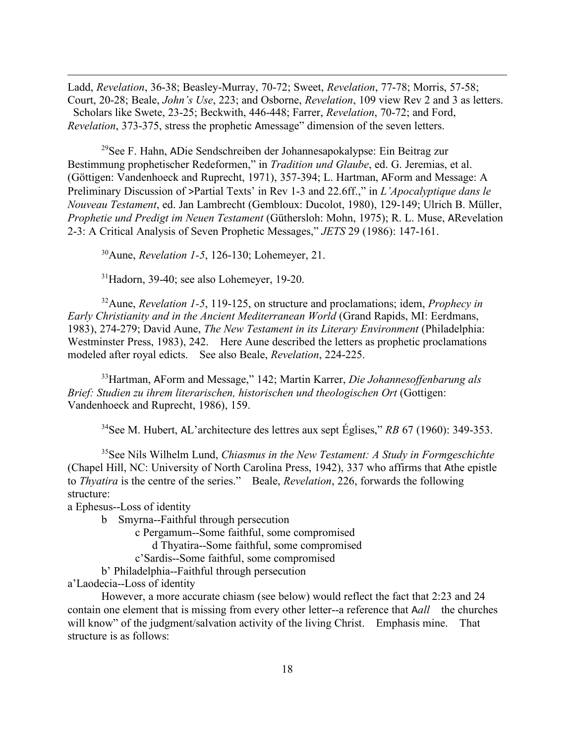Ladd, *Revelation*, 36-38; Beasley-Murray, 70-72; Sweet, *Revelation*, 77-78; Morris, 57-58; Court, 20-28; Beale, *John's Use*, 223; and Osborne, *Revelation*, 109 view Rev 2 and 3 as letters. Scholars like Swete, 23-25; Beckwith, 446-448; Farrer, *Revelation*, 70-72; and Ford, *Revelation*, 373-375, stress the prophetic Amessage" dimension of the seven letters.

29See F. Hahn, ADie Sendschreiben der Johannesapokalypse: Ein Beitrag zur Bestimmung prophetischer Redeformen," in *Tradition und Glaube*, ed. G. Jeremias, et al. (Göttigen: Vandenhoeck and Ruprecht, 1971), 357-394; L. Hartman, AForm and Message: A Preliminary Discussion of >Partial Texts' in Rev 1-3 and 22.6ff.," in *L'Apocalyptique dans le Nouveau Testament*, ed. Jan Lambrecht (Gembloux: Ducolot, 1980), 129-149; Ulrich B. Müller, *Prophetie und Predigt im Neuen Testament* (Güthersloh: Mohn, 1975); R. L. Muse, ARevelation 2-3: A Critical Analysis of Seven Prophetic Messages," *JETS* 29 (1986): 147-161.

30Aune, *Revelation 1-5*, 126-130; Lohemeyer, 21.

31Hadorn, 39-40; see also Lohemeyer, 19-20.

32Aune, *Revelation 1-5*, 119-125, on structure and proclamations; idem, *Prophecy in Early Christianity and in the Ancient Mediterranean World* (Grand Rapids, MI: Eerdmans, 1983), 274-279; David Aune, *The New Testament in its Literary Environment* (Philadelphia: Westminster Press, 1983), 242. Here Aune described the letters as prophetic proclamations modeled after royal edicts. See also Beale, *Revelation*, 224-225.

33Hartman, AForm and Message," 142; Martin Karrer, *Die Johannesoffenbarung als Brief: Studien zu ihrem literarischen, historischen und theologischen Ort* (Gottigen: Vandenhoeck and Ruprecht, 1986), 159.

34See M. Hubert, AL'architecture des lettres aux sept Églises," *RB* 67 (1960): 349-353.

35See Nils Wilhelm Lund, *Chiasmus in the New Testament: A Study in Formgeschichte* (Chapel Hill, NC: University of North Carolina Press, 1942), 337 who affirms that Athe epistle to *Thyatira* is the centre of the series." Beale, *Revelation*, 226, forwards the following structure:

a Ephesus--Loss of identity

 $\overline{a}$ 

- b Smyrna--Faithful through persecution
	- c Pergamum--Some faithful, some compromised
		- d Thyatira--Some faithful, some compromised
	- c'Sardis--Some faithful, some compromised

b' Philadelphia--Faithful through persecution

a'Laodecia--Loss of identity

However, a more accurate chiasm (see below) would reflect the fact that 2:23 and 24 contain one element that is missing from every other letter--a reference that A*all* the churches will know" of the judgment/salvation activity of the living Christ. Emphasis mine. That structure is as follows: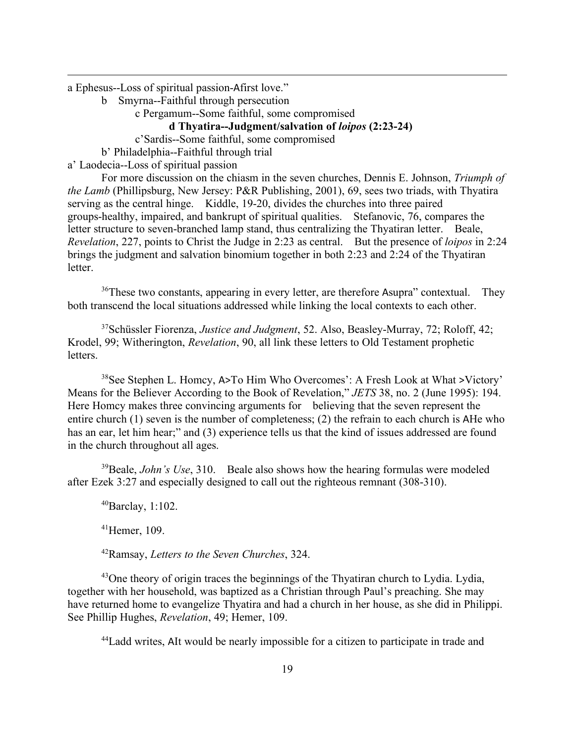a Ephesus--Loss of spiritual passion-Afirst love."

- b Smyrna--Faithful through persecution
	- c Pergamum--Some faithful, some compromised

# **d Thyatira--Judgment/salvation of** *loipos* **(2:23-24)**

c'Sardis--Some faithful, some compromised

b' Philadelphia--Faithful through trial

a' Laodecia--Loss of spiritual passion

 $\overline{a}$ 

For more discussion on the chiasm in the seven churches, Dennis E. Johnson, *Triumph of the Lamb* (Phillipsburg, New Jersey: P&R Publishing, 2001), 69, sees two triads, with Thyatira serving as the central hinge. Kiddle, 19-20, divides the churches into three paired groups-healthy, impaired, and bankrupt of spiritual qualities. Stefanovic, 76, compares the letter structure to seven-branched lamp stand, thus centralizing the Thyatiran letter. Beale, *Revelation*, 227, points to Christ the Judge in 2:23 as central. But the presence of *loipos* in 2:24 brings the judgment and salvation binomium together in both 2:23 and 2:24 of the Thyatiran letter.

<sup>36</sup>These two constants, appearing in every letter, are therefore Asupra" contextual. They both transcend the local situations addressed while linking the local contexts to each other.

37Schüssler Fiorenza, *Justice and Judgment*, 52. Also, Beasley-Murray, 72; Roloff, 42; Krodel, 99; Witherington, *Revelation*, 90, all link these letters to Old Testament prophetic letters.

<sup>38</sup>See Stephen L. Homcy, A>To Him Who Overcomes': A Fresh Look at What >Victory' Means for the Believer According to the Book of Revelation," *JETS* 38, no. 2 (June 1995): 194. Here Homcy makes three convincing arguments for believing that the seven represent the entire church (1) seven is the number of completeness; (2) the refrain to each church is AHe who has an ear, let him hear;" and (3) experience tells us that the kind of issues addressed are found in the church throughout all ages.

<sup>39</sup>Beale, *John's Use*, 310. Beale also shows how the hearing formulas were modeled after Ezek 3:27 and especially designed to call out the righteous remnant (308-310).

 $^{40}$ Barclay, 1:102.

 $^{41}$ Hemer, 109.

42Ramsay, *Letters to the Seven Churches*, 324.

<sup>43</sup>One theory of origin traces the beginnings of the Thyatiran church to Lydia. Lydia, together with her household, was baptized as a Christian through Paul's preaching. She may have returned home to evangelize Thyatira and had a church in her house, as she did in Philippi. See Phillip Hughes, *Revelation*, 49; Hemer, 109.

<sup>44</sup>Ladd writes, AIt would be nearly impossible for a citizen to participate in trade and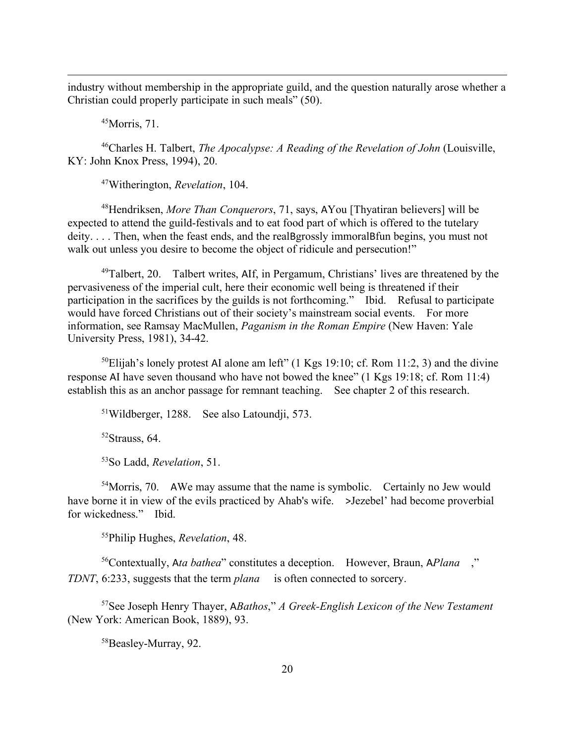industry without membership in the appropriate guild, and the question naturally arose whether a Christian could properly participate in such meals" (50).

 $45$ Morris, 71.

 $\overline{a}$ 

46Charles H. Talbert, *The Apocalypse: A Reading of the Revelation of John* (Louisville, KY: John Knox Press, 1994), 20.

47Witherington, *Revelation*, 104.

48Hendriksen, *More Than Conquerors*, 71, says, AYou [Thyatiran believers] will be expected to attend the guild-festivals and to eat food part of which is offered to the tutelary deity. . . . Then, when the feast ends, and the realBgrossly immoralBfun begins, you must not walk out unless you desire to become the object of ridicule and persecution!"

<sup>49</sup>Talbert, 20. Talbert writes, AIf, in Pergamum, Christians' lives are threatened by the pervasiveness of the imperial cult, here their economic well being is threatened if their participation in the sacrifices by the guilds is not forthcoming." Ibid. Refusal to participate would have forced Christians out of their society's mainstream social events. For more information, see Ramsay MacMullen, *Paganism in the Roman Empire* (New Haven: Yale University Press, 1981), 34-42.

 $50$ Elijah's lonely protest AI alone am left" (1 Kgs 19:10; cf. Rom 11:2, 3) and the divine response AI have seven thousand who have not bowed the knee" (1 Kgs 19:18; cf. Rom 11:4) establish this as an anchor passage for remnant teaching. See chapter 2 of this research.

51Wildberger, 1288. See also Latoundji, 573.

 $52$ Strauss, 64.

53So Ladd, *Revelation*, 51.

 $54$ Morris, 70. AWe may assume that the name is symbolic. Certainly no Jew would have borne it in view of the evils practiced by Ahab's wife. >Jezebel' had become proverbial for wickedness." Ibid.

55Philip Hughes, *Revelation*, 48.

56Contextually, A*ta bathea*" constitutes a deception. However, Braun, A*Plana*," *TDNT*, 6:233, suggests that the term *plana* is often connected to sorcery.

57See Joseph Henry Thayer, A*Bathos*," *A Greek-English Lexicon of the New Testament* (New York: American Book, 1889), 93.

58Beasley-Murray, 92.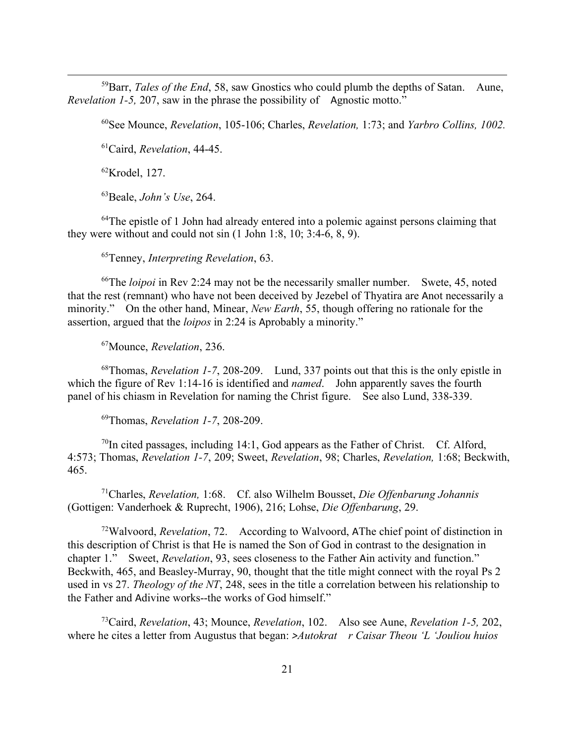<sup>59</sup>Barr, *Tales of the End*, 58, saw Gnostics who could plumb the depths of Satan. Aune, *Revelation 1-5, 207, saw in the phrase the possibility of Agnostic motto.*"

60See Mounce, *Revelation*, 105-106; Charles, *Revelation,* 1:73; and *Yarbro Collins, 1002.*

61Caird, *Revelation*, 44-45.

 $62$ Krodel, 127.

63Beale, *John's Use*, 264.

<sup>64</sup>The epistle of 1 John had already entered into a polemic against persons claiming that they were without and could not sin (1 John 1:8, 10; 3:4-6, 8, 9).

65Tenney, *Interpreting Revelation*, 63.

66The *loipoi* in Rev 2:24 may not be the necessarily smaller number. Swete, 45, noted that the rest (remnant) who have not been deceived by Jezebel of Thyatira are Anot necessarily a minority." On the other hand, Minear, *New Earth*, 55, though offering no rationale for the assertion, argued that the *loipos* in 2:24 is Aprobably a minority."

67Mounce, *Revelation*, 236.

68Thomas, *Revelation 1-7*, 208-209. Lund, 337 points out that this is the only epistle in which the figure of Rev 1:14-16 is identified and *named*. John apparently saves the fourth panel of his chiasm in Revelation for naming the Christ figure. See also Lund, 338-339.

69Thomas, *Revelation 1-7*, 208-209.

 $^{70}$ In cited passages, including 14:1, God appears as the Father of Christ. Cf. Alford, 4:573; Thomas, *Revelation 1-7*, 209; Sweet, *Revelation*, 98; Charles, *Revelation,* 1:68; Beckwith, 465.

71Charles, *Revelation,* 1:68. Cf. also Wilhelm Bousset, *Die Offenbarung Johannis* (Gottigen: Vanderhoek & Ruprecht, 1906), 216; Lohse, *Die Offenbarung*, 29.

72Walvoord, *Revelation*, 72. According to Walvoord, AThe chief point of distinction in this description of Christ is that He is named the Son of God in contrast to the designation in chapter 1." Sweet, *Revelation*, 93, sees closeness to the Father Ain activity and function." Beckwith, 465, and Beasley-Murray, 90, thought that the title might connect with the royal Ps 2 used in vs 27. *Theology of the NT*, 248, sees in the title a correlation between his relationship to the Father and Adivine works--the works of God himself."

73Caird, *Revelation*, 43; Mounce, *Revelation*, 102. Also see Aune, *Revelation 1-5,* 202, where he cites a letter from Augustus that began: *>Autokratr Caisar Theou 'L 'Jouliou huios*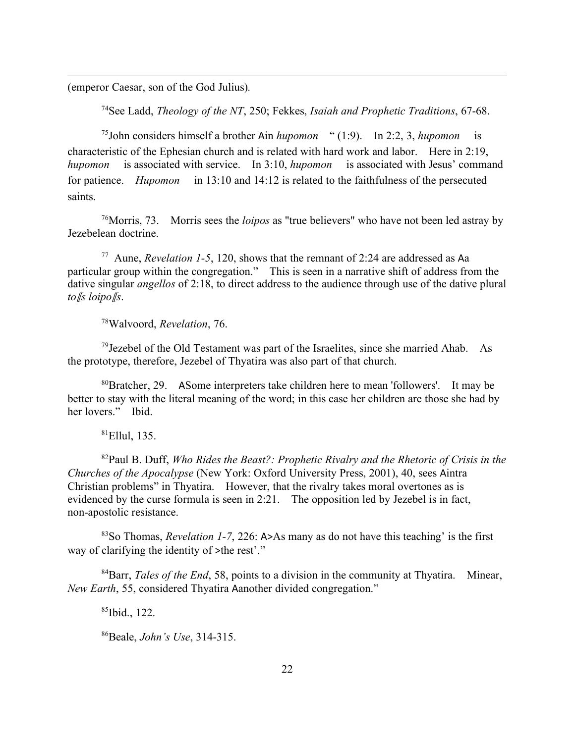(emperor Caesar, son of the God Julius)*.*

 $\overline{a}$ 

74See Ladd, *Theology of the NT*, 250; Fekkes, *Isaiah and Prophetic Traditions*, 67-68.

75John considers himself a brother Ain *hupomon*" (1:9). In 2:2, 3, *hupomon* is characteristic of the Ephesian church and is related with hard work and labor. Here in 2:19, *hupomon* is associated with service. In 3:10, *hupomon* is associated with Jesus' command for patience. *Hupomon* in 13:10 and 14:12 is related to the faithfulness of the persecuted saints.

76Morris, 73. Morris sees the *loipos* as "true believers" who have not been led astray by Jezebelean doctrine.

<sup>77</sup> Aune, *Revelation 1-5*, 120, shows that the remnant of 2:24 are addressed as Aa particular group within the congregation." This is seen in a narrative shift of address from the dative singular *angellos* of 2:18, to direct address to the audience through use of the dative plural *to*!*s loipo*!*s*.

78Walvoord, *Revelation*, 76.

 $79$  Jezebel of the Old Testament was part of the Israelites, since she married Ahab. As the prototype, therefore, Jezebel of Thyatira was also part of that church.

80Bratcher, 29. ASome interpreters take children here to mean 'followers'. It may be better to stay with the literal meaning of the word; in this case her children are those she had by her lovers." Ibid.

 $81$ Ellul, 135.

82Paul B. Duff, *Who Rides the Beast?: Prophetic Rivalry and the Rhetoric of Crisis in the Churches of the Apocalypse* (New York: Oxford University Press, 2001), 40, sees Aintra Christian problems" in Thyatira. However, that the rivalry takes moral overtones as is evidenced by the curse formula is seen in 2:21. The opposition led by Jezebel is in fact, non-apostolic resistance.

83So Thomas, *Revelation 1-7*, 226: A>As many as do not have this teaching' is the first way of clarifying the identity of >the rest'."

84Barr, *Tales of the End*, 58, points to a division in the community at Thyatira. Minear, *New Earth*, 55, considered Thyatira Aanother divided congregation."

85Ibid., 122.

86Beale, *John's Use*, 314-315.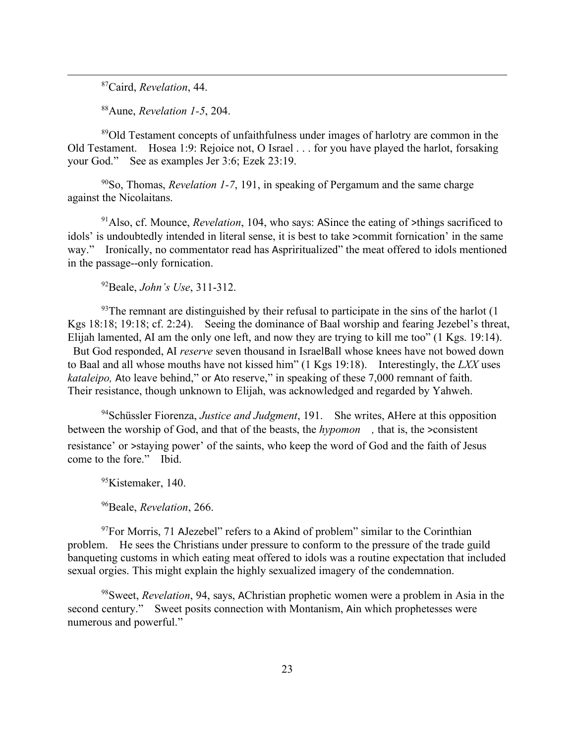87Caird, *Revelation*, 44.

88Aune, *Revelation 1-5*, 204.

89Old Testament concepts of unfaithfulness under images of harlotry are common in the Old Testament. Hosea 1:9: Rejoice not, O Israel . . . for you have played the harlot, forsaking your God." See as examples Jer 3:6; Ezek 23:19.

90So, Thomas, *Revelation 1-7*, 191, in speaking of Pergamum and the same charge against the Nicolaitans.

91Also, cf. Mounce, *Revelation*, 104, who says: ASince the eating of >things sacrificed to idols' is undoubtedly intended in literal sense, it is best to take >commit fornication' in the same way." Ironically, no commentator read has Aspriritualized" the meat offered to idols mentioned in the passage--only fornication.

92Beale, *John's Use*, 311-312.

 $93$ <sup>93</sup>The remnant are distinguished by their refusal to participate in the sins of the harlot (1) Kgs 18:18; 19:18; cf. 2:24). Seeing the dominance of Baal worship and fearing Jezebel's threat, Elijah lamented, AI am the only one left, and now they are trying to kill me too" (1 Kgs. 19:14).

But God responded, AI *reserve* seven thousand in IsraelBall whose knees have not bowed down to Baal and all whose mouths have not kissed him" (1 Kgs 19:18). Interestingly, the *LXX* uses *kataleipo*, Ato leave behind," or Ato reserve," in speaking of these 7,000 remnant of faith. Their resistance, though unknown to Elijah, was acknowledged and regarded by Yahweh.

94Schüssler Fiorenza, *Justice and Judgment*, 191. She writes, AHere at this opposition between the worship of God, and that of the beasts, the *hypomon,* that is, the >consistent resistance' or >staying power' of the saints, who keep the word of God and the faith of Jesus come to the fore." Ibid.

<sup>95</sup>Kistemaker, 140.

96Beale, *Revelation*, 266.

 $97$ For Morris, 71 AJezebel" refers to a Akind of problem" similar to the Corinthian problem. He sees the Christians under pressure to conform to the pressure of the trade guild banqueting customs in which eating meat offered to idols was a routine expectation that included sexual orgies. This might explain the highly sexualized imagery of the condemnation.

98Sweet, *Revelation*, 94, says, AChristian prophetic women were a problem in Asia in the second century." Sweet posits connection with Montanism, Ain which prophetesses were numerous and powerful."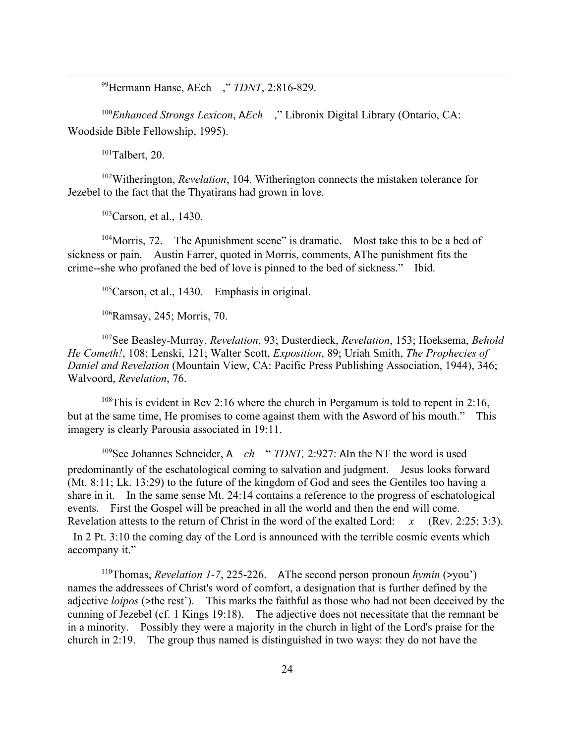99Hermann Hanse, AEch," *TDNT*, 2:816-829.

<sup>100</sup>*Enhanced Strongs Lexicon*, A*Ech*," Libronix Digital Library (Ontario, CA: Woodside Bible Fellowship, 1995).

 $101$ Talbert, 20.

102Witherington, *Revelation*, 104. Witherington connects the mistaken tolerance for Jezebel to the fact that the Thyatirans had grown in love.

103Carson, et al., 1430.

<sup>104</sup>Morris, 72. The Apunishment scene" is dramatic. Most take this to be a bed of sickness or pain. Austin Farrer, quoted in Morris, comments, AThe punishment fits the crime--she who profaned the bed of love is pinned to the bed of sickness." Ibid.

105Carson, et al., 1430. Emphasis in original.

106Ramsay, 245; Morris, 70.

107See Beasley-Murray, *Revelation*, 93; Dusterdieck, *Revelation*, 153; Hoeksema, *Behold He Cometh!*, 108; Lenski, 121; Walter Scott, *Exposition*, 89; Uriah Smith, *The Prophecies of Daniel and Revelation* (Mountain View, CA: Pacific Press Publishing Association, 1944), 346; Walvoord, *Revelation*, 76.

 $108$ This is evident in Rev 2:16 where the church in Pergamum is told to repent in 2:16, but at the same time, He promises to come against them with the Asword of his mouth." This imagery is clearly Parousia associated in 19:11.

<sup>109</sup>See Johannes Schneider, A *ch* "*TDNT*, 2:927: AIn the NT the word is used predominantly of the eschatological coming to salvation and judgment. Jesus looks forward (Mt. 8:11; Lk. 13:29) to the future of the kingdom of God and sees the Gentiles too having a share in it. In the same sense Mt. 24:14 contains a reference to the progress of eschatological events. First the Gospel will be preached in all the world and then the end will come. Revelation attests to the return of Christ in the word of the exalted Lord: *x* (Rev. 2:25; 3:3).

In 2 Pt. 3:10 the coming day of the Lord is announced with the terrible cosmic events which accompany it."

110Thomas, *Revelation 1-7*, 225-226. AThe second person pronoun *hymin* (>you') names the addressees of Christ's word of comfort, a designation that is further defined by the adjective *loipos* (>the rest'). This marks the faithful as those who had not been deceived by the cunning of Jezebel (cf. 1 Kings 19:18). The adjective does not necessitate that the remnant be in a minority. Possibly they were a majority in the church in light of the Lord's praise for the church in 2:19. The group thus named is distinguished in two ways: they do not have the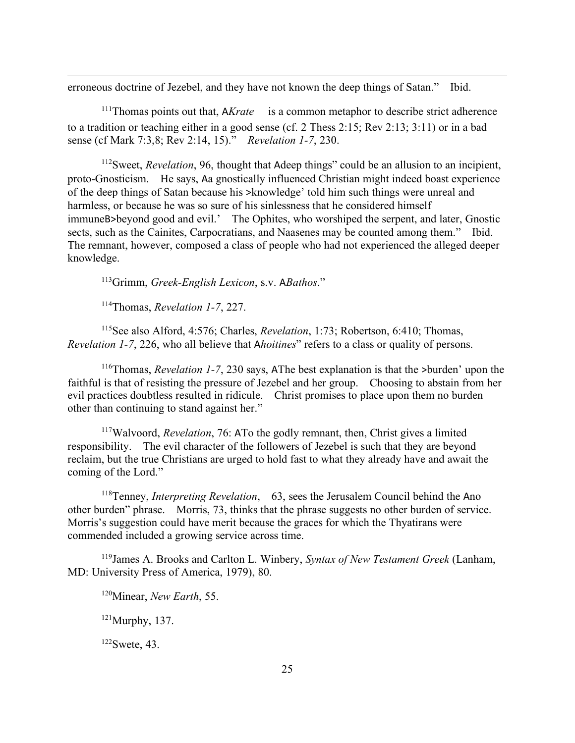erroneous doctrine of Jezebel, and they have not known the deep things of Satan." Ibid.

<sup>111</sup>Thomas points out that, A*Krate* is a common metaphor to describe strict adherence to a tradition or teaching either in a good sense (cf. 2 Thess 2:15; Rev 2:13; 3:11) or in a bad sense (cf Mark 7:3,8; Rev 2:14, 15)." *Revelation 1-7*, 230.

<sup>112</sup>Sweet, *Revelation*, 96, thought that Adeep things" could be an allusion to an incipient, proto-Gnosticism. He says, Aa gnostically influenced Christian might indeed boast experience of the deep things of Satan because his >knowledge' told him such things were unreal and harmless, or because he was so sure of his sinlessness that he considered himself immuneB>beyond good and evil.' The Ophites, who worshiped the serpent, and later, Gnostic sects, such as the Cainites, Carpocratians, and Naasenes may be counted among them." Ibid. The remnant, however, composed a class of people who had not experienced the alleged deeper knowledge.

113Grimm, *Greek-English Lexicon*, s.v. A*Bathos*."

114Thomas, *Revelation 1-7*, 227.

 $\overline{a}$ 

115See also Alford, 4:576; Charles, *Revelation*, 1:73; Robertson, 6:410; Thomas, *Revelation 1-7*, 226, who all believe that A*hoitines*" refers to a class or quality of persons.

116Thomas, *Revelation 1-7*, 230 says, AThe best explanation is that the >burden' upon the faithful is that of resisting the pressure of Jezebel and her group. Choosing to abstain from her evil practices doubtless resulted in ridicule. Christ promises to place upon them no burden other than continuing to stand against her."

117Walvoord, *Revelation*, 76: ATo the godly remnant, then, Christ gives a limited responsibility. The evil character of the followers of Jezebel is such that they are beyond reclaim, but the true Christians are urged to hold fast to what they already have and await the coming of the Lord."

118Tenney, *Interpreting Revelation*, 63, sees the Jerusalem Council behind the Ano other burden" phrase. Morris, 73, thinks that the phrase suggests no other burden of service. Morris's suggestion could have merit because the graces for which the Thyatirans were commended included a growing service across time.

119James A. Brooks and Carlton L. Winbery, *Syntax of New Testament Greek* (Lanham, MD: University Press of America, 1979), 80.

120Minear, *New Earth*, 55.

 $121$ Murphy, 137.

 $122$ Swete, 43.